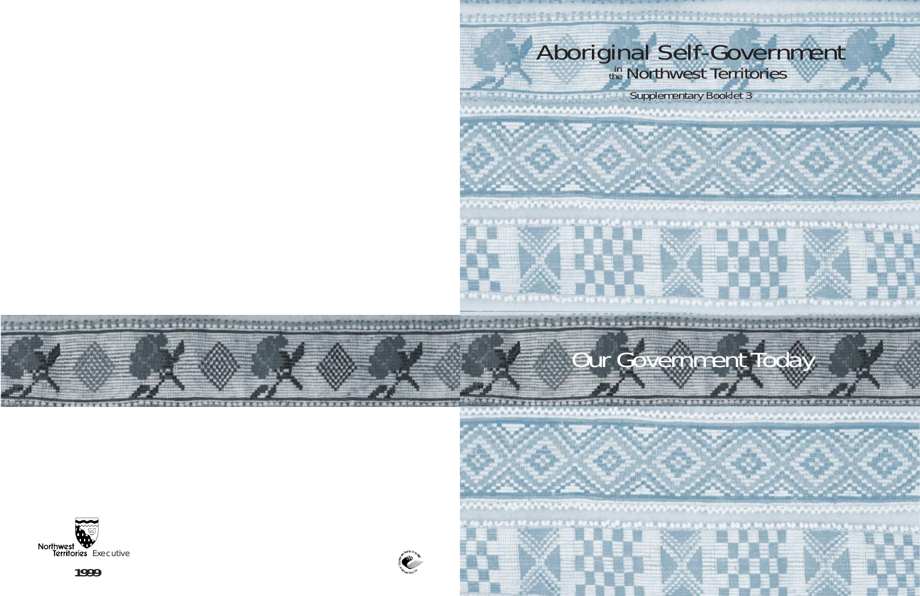# Aboriginal Self-Government

Supplementary Booklet 3

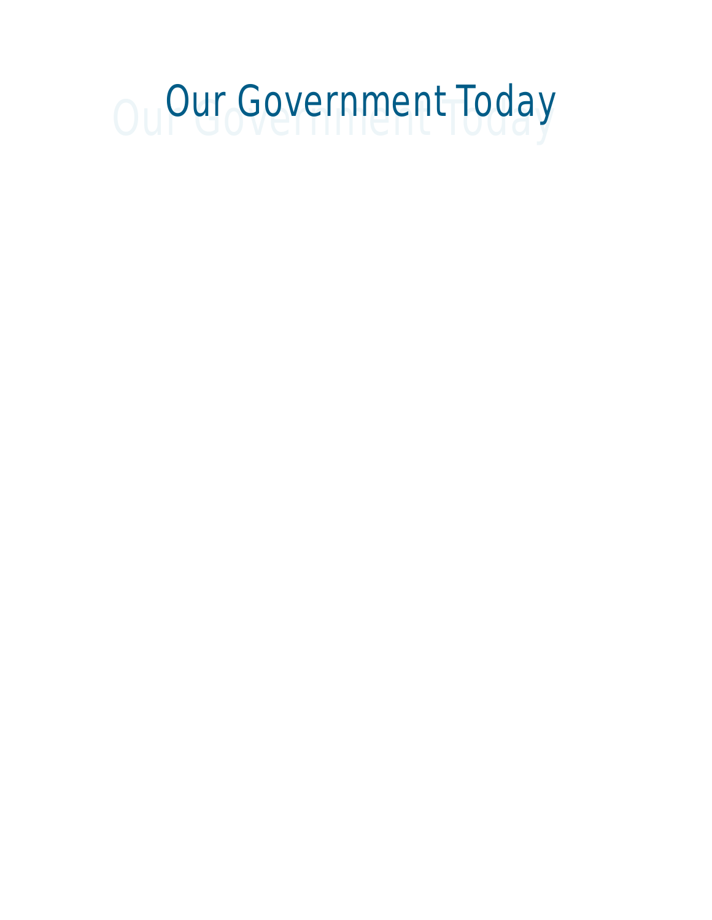# Our Government Today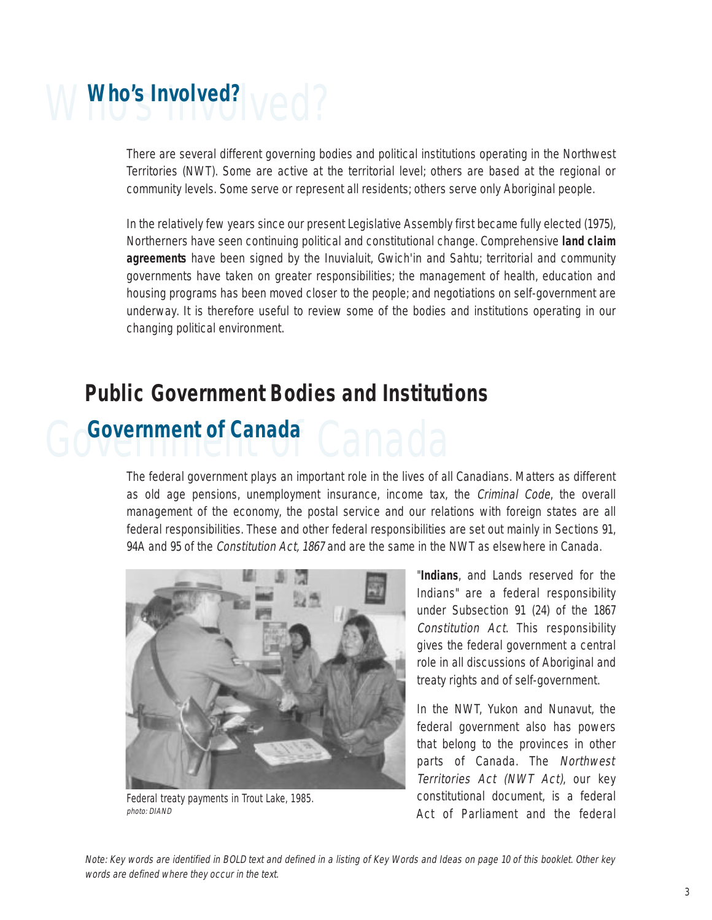# Who's Involved? Ved?

There are several different governing bodies and political institutions operating in the Northwest Territories (NWT). Some are active at the territorial level; others are based at the regional or community levels. Some serve or represent all residents; others serve only Aboriginal people.

In the relatively few years since our present Legislative Assembly first became fully elected (1975), Northerners have seen continuing political and constitutional change. Comprehensive **land claim agreements** have been signed by the Inuvialuit, Gwich'in and Sahtu; territorial and community governments have taken on greater responsibilities; the management of health, education and housing programs has been moved closer to the people; and negotiations on self-government are underway. It is therefore useful to review some of the bodies and institutions operating in our changing political environment.

#### **Public Government Bodies and Institutions**

## Government of Canada<sup>c</sup> Canada

The federal government plays an important role in the lives of all Canadians. Matters as different as old age pensions, unemployment insurance, income tax, the Criminal Code, the overall management of the economy, the postal service and our relations with foreign states are all federal responsibilities. These and other federal responsibilities are set out mainly in Sections 91, 94A and 95 of the *Constitution Act*, 1867 and are the same in the NWT as elsewhere in Canada.



Federal treaty payments in Trout Lake, 1985. photo: DIAND

"**Indians**, and Lands reserved for the Indians" are a federal responsibility under Subsection 91 (24) of the 1867 Constitution Act. This responsibility gives the federal government a central role in all discussions of Aboriginal and treaty rights and of self-government.

In the NWT, Yukon and Nunavut, the federal government also has powers that belong to the provinces in other parts of Canada. The Northwest Territories Act (NWT Act), our key constitutional document, is a federal Act of Parliament and the federal

Note: Key words are identified in BOLD text and defined in a listing of Key Words and Ideas on page 10 of this booklet. Other key words are defined where they occur in the text.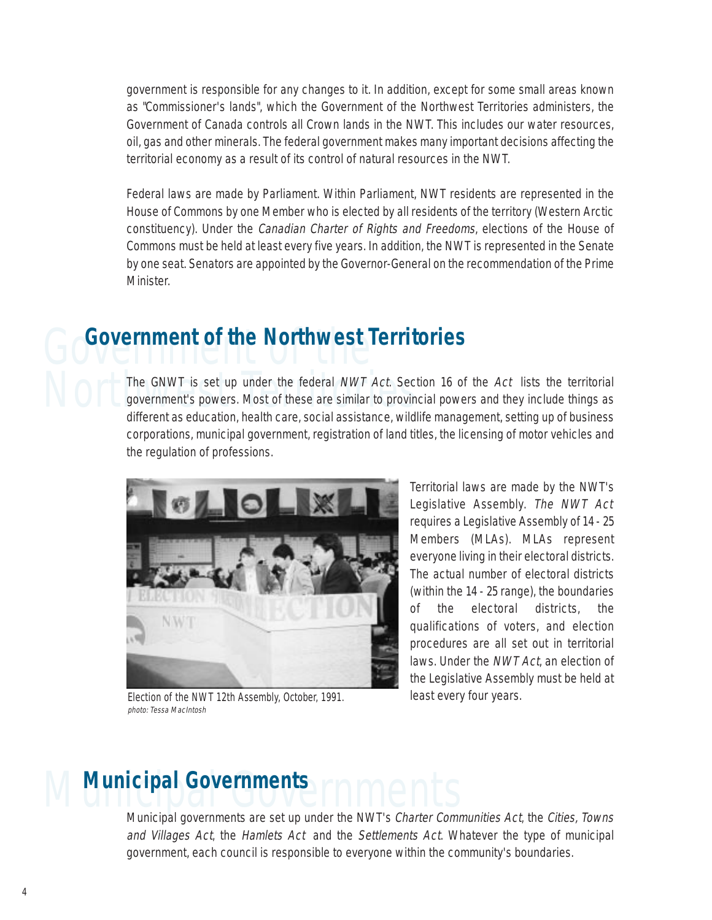government is responsible for any changes to it. In addition, except for some small areas known as "Commissioner's lands", which the Government of the Northwest Territories administers, the Government of Canada controls all Crown lands in the NWT. This includes our water resources, oil, gas and other minerals. The federal government makes many important decisions affecting the territorial economy as a result of its control of natural resources in the NWT.

Federal laws are made by Parliament. Within Parliament, NWT residents are represented in the House of Commons by one Member who is elected by all residents of the territory (Western Arctic constituency). Under the Canadian Charter of Rights and Freedoms, elections of the House of Commons must be held at least every five years. In addition, the NWT is represented in the Senate by one seat. Senators are appointed by the Governor-General on the recommendation of the Prime Minister.

# Government of the **Government of the Northwest Territories**

The GNWT is set up under the federal *NWT Act*. Section 16 of the *Act* lists the territorial<br>government's powers. Most of these are similar to provincial powers and they include things as<br>different as education health car government's powers. Most of these are similar to provincial powers and they include things as different as education, health care, social assistance, wildlife management, setting up of business corporations, municipal government, registration of land titles, the licensing of motor vehicles and the regulation of professions.



Election of the NWT 12th Assembly, October, 1991. photo: Tessa MacIntosh

Territorial laws are made by the NWT's Legislative Assembly. The NWT Act requires a Legislative Assembly of 14 - 25 Members (MLAs). MLAs represent everyone living in their electoral districts. The actual number of electoral districts (within the 14 - 25 range), the boundaries of the electoral districts, the qualifications of voters, and election procedures are all set out in territorial laws. Under the NWT Act, an election of the Legislative Assembly must be held at least every four years.

# **Municipal Governments**<br>
Municipal governments are set up under the NWT's Charter Comp

Municipal governments are set up under the NWT's Charter Communities Act, the Cities, Towns and Villages Act, the Hamlets Act and the Settlements Act. Whatever the type of municipal government, each council is responsible to everyone within the community's boundaries.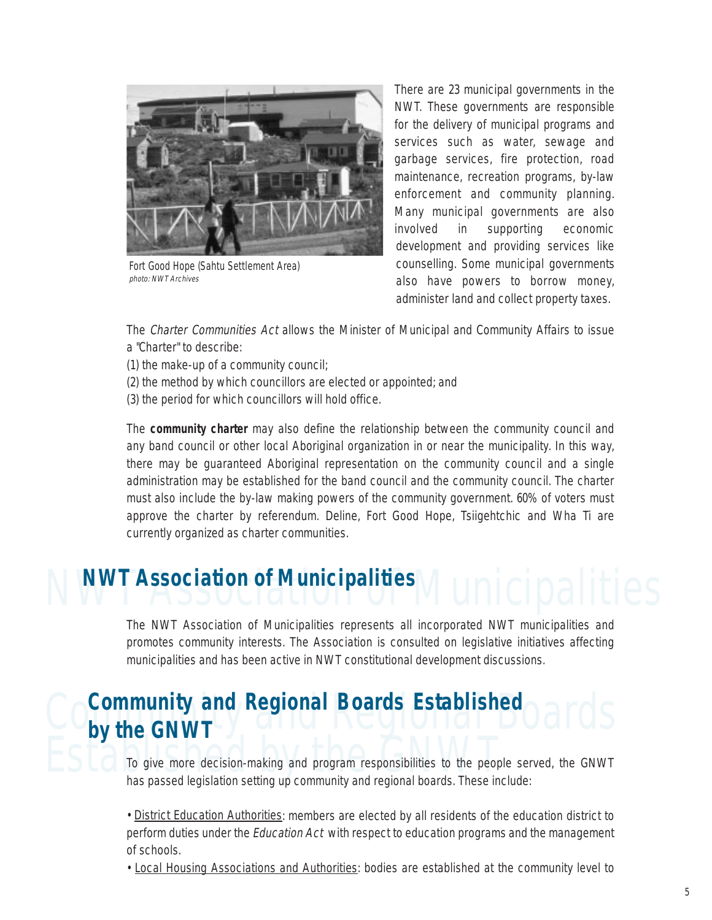

Fort Good Hope (Sahtu Settlement Area) photo: NWT Archives

There are 23 municipal governments in the NWT. These governments are responsible for the delivery of municipal programs and services such as water, sewage and garbage services, fire protection, road maintenance, recreation programs, by-law enforcement and community planning. Many municipal governments are also involved in supporting economic development and providing services like counselling. Some municipal governments also have powers to borrow money, administer land and collect property taxes.

The Charter Communities Act allows the Minister of Municipal and Community Affairs to issue a "Charter" to describe:

(1) the make-up of a community council;

- (2) the method by which councillors are elected or appointed; and
- (3) the period for which councillors will hold office.

The **community charter** may also define the relationship between the community council and any band council or other local Aboriginal organization in or near the municipality. In this way, there may be guaranteed Aboriginal representation on the community council and a single administration may be established for the band council and the community council. The charter must also include the by-law making powers of the community government. 60% of voters must approve the charter by referendum. Deline, Fort Good Hope, Tsiigehtchic and Wha Ti are currently organized as charter communities.

### **NWT Association of Municipalities**

The NWT Association of Municipalities represents all incorporated NWT municipalities and promotes community interests. The Association is consulted on legislative initiatives affecting municipalities and has been active in NWT constitutional development discussions.

### Community and Regional Boards Established<br> **Community and Regional Boards Established**<br>
Oards **by the GNWT**

To give more decision-making and program responsibilities to the people<br>has passed legislation setting up community and regional boards. These in To give more decision-making and program responsibilities to the people served, the GNWT has passed legislation setting up community and regional boards. These include:

> • District Education Authorities: members are elected by all residents of the education district to perform duties under the *Education Act* with respect to education programs and the management of schools.

> • Local Housing Associations and Authorities: bodies are established at the community level to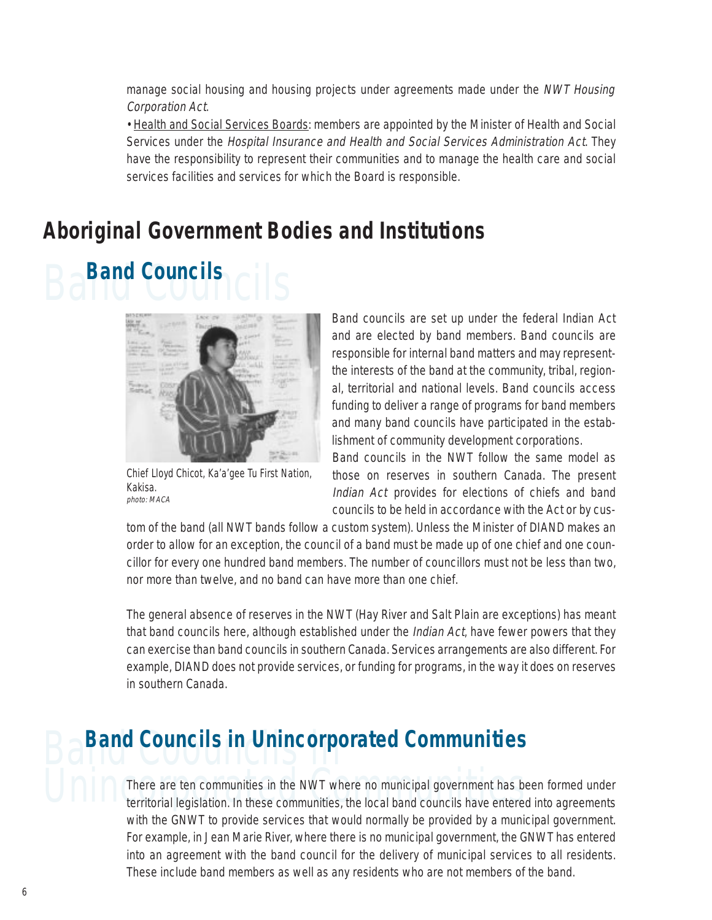manage social housing and housing projects under agreements made under the NWT Housing Corporation Act.

• Health and Social Services Boards: members are appointed by the Minister of Health and Social Services under the Hospital Insurance and Health and Social Services Administration Act. They have the responsibility to represent their communities and to manage the health care and social services facilities and services for which the Board is responsible.

### **Aboriginal Government Bodies and Institutions**





Chief Lloyd Chicot, Ka'a'gee Tu First Nation, Kakisa. photo: MACA

Band councils are set up under the federal Indian Act and are elected by band members. Band councils are responsible for internal band matters and may representthe interests of the band at the community, tribal, regional, territorial and national levels. Band councils access funding to deliver a range of programs for band members and many band councils have participated in the establishment of community development corporations.

Band councils in the NWT follow the same model as those on reserves in southern Canada. The present Indian Act provides for elections of chiefs and band councils to be held in accordance with the Act or by cus-

tom of the band (all NWT bands follow a custom system). Unless the Minister of DIAND makes an order to allow for an exception, the council of a band must be made up of one chief and one councillor for every one hundred band members. The number of councillors must not be less than two, nor more than twelve, and no band can have more than one chief.

The general absence of reserves in the NWT (Hay River and Salt Plain are exceptions) has meant that band councils here, although established under the Indian Act, have fewer powers that they can exercise than band councils in southern Canada. Services arrangements are also different. For example, DIAND does not provide services, or funding for programs, in the way it does on reserves in southern Canada.

## **Band Councils in Unincorporated Communities**

There are ten communities in the NWT where no municipal government has been formed under<br>territorial legislation. In these communities, the local band councils have entered into agreements There are ten communities in the NWT where no municipal government has been formed under with the GNWT to provide services that would normally be provided by a municipal government. For example, in Jean Marie River, where there is no municipal government, the GNWT has entered into an agreement with the band council for the delivery of municipal services to all residents. These include band members as well as any residents who are not members of the band.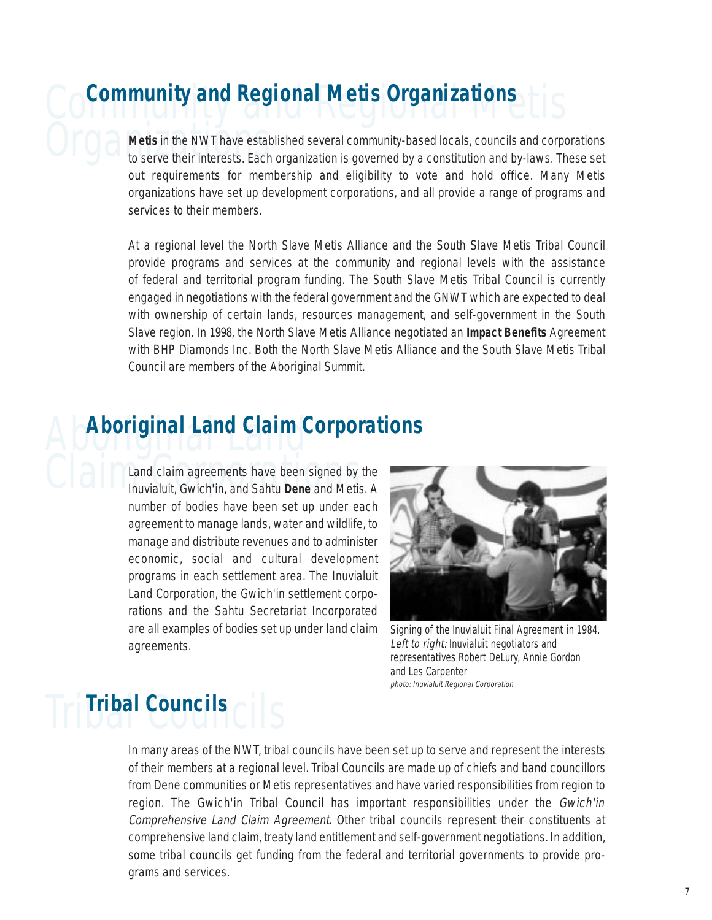### **Community and Regional Metis Organizations**

**Organization** to serve their interests. Each organization is governed by a constitution and by-laws. These set **Metis** in the NWT have established several community-based locals, councils and corporations out requirements for membership and eligibility to vote and hold office. Many Metis organizations have set up development corporations, and all provide a range of programs and services to their members.

> At a regional level the North Slave Metis Alliance and the South Slave Metis Tribal Council provide programs and services at the community and regional levels with the assistance of federal and territorial program funding. The South Slave Metis Tribal Council is currently engaged in negotiations with the federal government and the GNWT which are expected to deal with ownership of certain lands, resources management, and self-government in the South Slave region. In 1998, the North Slave Metis Alliance negotiated an **Impact Benefits** Agreement with BHP Diamonds Inc. Both the North Slave Metis Alliance and the South Slave Metis Tribal Council are members of the Aboriginal Summit.

### Aboriginal Land **Aboriginal Land Claim Corporations**

Claim agreements have been signed by<br>Inuvialuit, Gwich'in, and Sahtu Dene and Metis Land claim agreements have been signed by the Inuvialuit, Gwich'in, and Sahtu **Dene** and Metis. A number of bodies have been set up under each agreement to manage lands, water and wildlife, to manage and distribute revenues and to administer economic, social and cultural development programs in each settlement area. The Inuvialuit Land Corporation, the Gwich'in settlement corporations and the Sahtu Secretariat Incorporated are all examples of bodies set up under land claim agreements.



Signing of the Inuvialuit Final Agreement in 1984. Left to right: Inuvialuit negotiators and representatives Robert DeLury, Annie Gordon and Les Carpenter photo: Inuvialuit Regional Corporation

### Tribal Councils **Tribal Councils**

In many areas of the NWT, tribal councils have been set up to serve and represent the interests of their members at a regional level. Tribal Councils are made up of chiefs and band councillors from Dene communities or Metis representatives and have varied responsibilities from region to region. The Gwich'in Tribal Council has important responsibilities under the Gwich'in Comprehensive Land Claim Agreement. Other tribal councils represent their constituents at comprehensive land claim, treaty land entitlement and self-government negotiations. In addition, some tribal councils get funding from the federal and territorial governments to provide programs and services.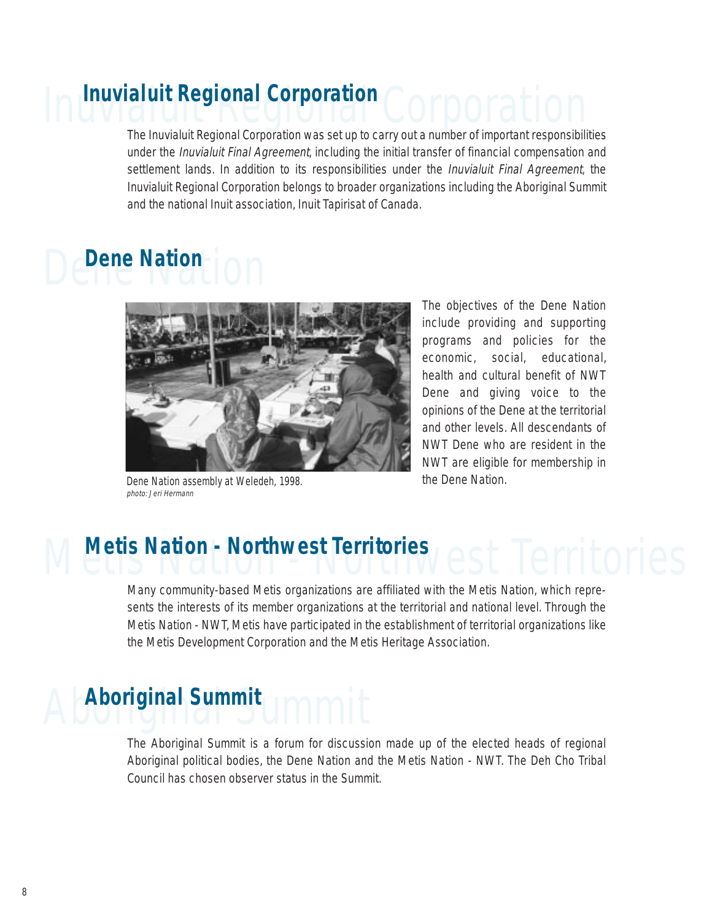### Inuvialuit Regional Corporation **Inuvialuit Regional Corporation**

The Inuvialuit Regional Corporation was set up to carry out a number of important responsibilities under the Inuvialuit Final Agreement, including the initial transfer of financial compensation and settlement lands. In addition to its responsibilities under the *Inuvialuit Final Agreement*, the Inuvialuit Regional Corporation belongs to broader organizations including the Aboriginal Summit and the national Inuit association, Inuit Tapirisat of Canada.

### **Dene Nation**



Dene Nation assembly at Weledeh, 1998. photo: Jeri Hermann

The objectives of the Dene Nation include providing and supporting programs and policies for the economic, social, educational, health and cultural benefit of NWT Dene and giving voice to the opinions of the Dene at the territorial and other levels. All descendants of NWT Dene who are resident in the NWT are eligible for membership in the Dene Nation.

### **Metis Nation - Northwest Territories**

Many community-based Metis organizations are affiliated with the Metis Nation, which represents the interests of its member organizations at the territorial and national level. Through the Metis Nation - NWT, Metis have participated in the establishment of territorial organizations like the Metis Development Corporation and the Metis Heritage Association.

# Aboriginal Summit **Aboriginal Summit**

The Aboriginal Summit is a forum for discussion made up of the elected heads of regional Aboriginal political bodies, the Dene Nation and the Metis Nation - NWT. The Deh Cho Tribal Council has chosen observer status in the Summit.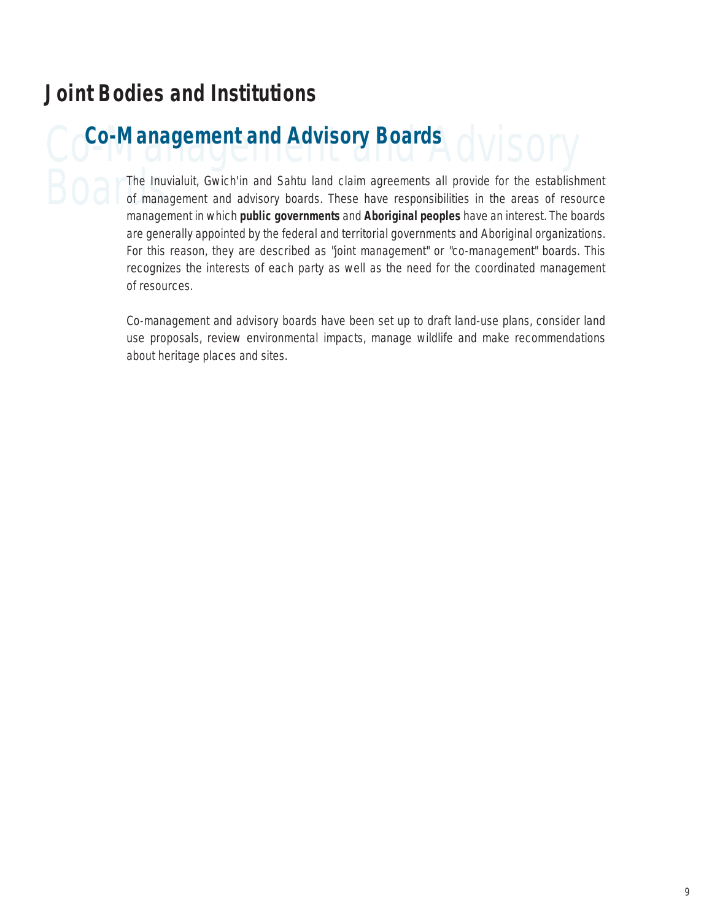### **Joint Bodies and Institutions**

Co-Management and Advisory Boards<br>
CO<sup>CO-Management</sup> and Advisory Boards<br>
CO<sup>CO-Management and Advisory Boards</sup> The Inuvialuit, Gwich'in and Sahtu land claim agreements all provide for the establishment<br>of management and advisory boards. These have responsibilities in the areas of resource of management and advisory boards. These have responsibilities in the areas of resource management in which **public governments** and **Aboriginal peoples** have an interest. The boards are generally appointed by the federal and territorial governments and Aboriginal organizations. For this reason, they are described as "joint management" or "co-management" boards. This recognizes the interests of each party as well as the need for the coordinated management of resources.

> Co-management and advisory boards have been set up to draft land-use plans, consider land use proposals, review environmental impacts, manage wildlife and make recommendations about heritage places and sites.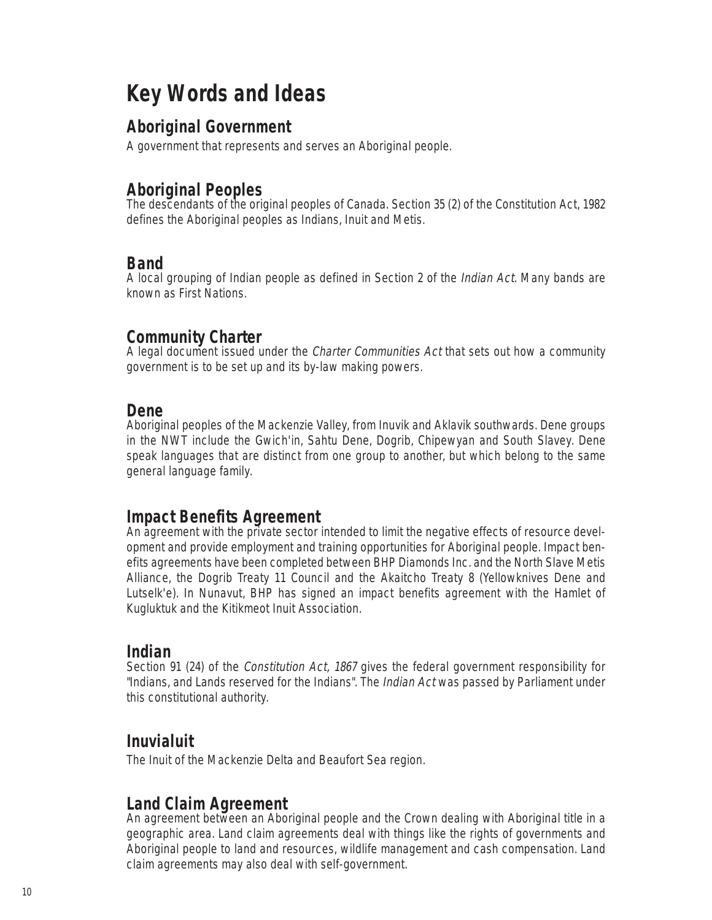### **Key Words and Ideas**

#### **Aboriginal Government**

A government that represents and serves an Aboriginal people.

#### **Aboriginal Peoples**

The descendants of the original peoples of Canada. Section 35 (2) of the Constitution Act, 1982 defines the Aboriginal peoples as Indians, Inuit and Metis.

#### **Band**

A local grouping of Indian people as defined in Section 2 of the Indian Act. Many bands are known as First Nations.

#### **Community Charter**

A legal document issued under the Charter Communities Act that sets out how a community government is to be set up and its by-law making powers.

#### **Dene**

Aboriginal peoples of the Mackenzie Valley, from Inuvik and Aklavik southwards. Dene groups in the NWT include the Gwich'in, Sahtu Dene, Dogrib, Chipewyan and South Slavey. Dene speak languages that are distinct from one group to another, but which belong to the same general language family.

#### **Impact Benefits Agreement**

An agreement with the private sector intended to limit the negative effects of resource development and provide employment and training opportunities for Aboriginal people. Impact benefits agreements have been completed between BHP Diamonds Inc. and the North Slave Metis Alliance, the Dogrib Treaty 11 Council and the Akaitcho Treaty 8 (Yellowknives Dene and Lutselk'e). In Nunavut, BHP has signed an impact benefits agreement with the Hamlet of Kugluktuk and the Kitikmeot Inuit Association.

#### **Indian**

Section 91 (24) of the *Constitution Act, 1867* gives the federal government responsibility for "Indians, and Lands reserved for the Indians". The *Indian Act* was passed by Parliament under this constitutional authority.

#### **Inuvialuit**

The Inuit of the Mackenzie Delta and Beaufort Sea region.

#### **Land Claim Agreement**

An agreement between an Aboriginal people and the Crown dealing with Aboriginal title in a geographic area. Land claim agreements deal with things like the rights of governments and Aboriginal people to land and resources, wildlife management and cash compensation. Land claim agreements may also deal with self-government.